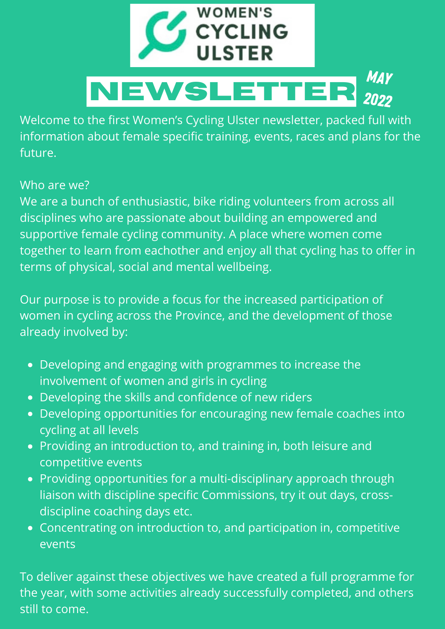

Welcome to the first Women's Cycling Ulster newsletter, packed full with information about female specific training, events, races and plans for the future.

#### Who are we?

We are a bunch of enthusiastic, bike riding volunteers from across all disciplines who are passionate about building an empowered and supportive female cycling community. A place where women come together to learn from eachother and enjoy all that cycling has to offer in terms of physical, social and mental wellbeing.

Our purpose is to provide a focus for the increased participation of women in cycling across the Province, and the development of those already involved by:

- Developing and engaging with programmes to increase the involvement of women and girls in cycling
- Developing the skills and confidence of new riders
- Developing opportunities for encouraging new female coaches into cycling at all levels
- Providing an introduction to, and training in, both leisure and competitive events
- Providing opportunities for a multi-disciplinary approach through liaison with discipline specific Commissions, try it out days, crossdiscipline coaching days etc.
- Concentrating on introduction to, and participation in, competitive events

To deliver against these objectives we have created a full programme for the year, with some activities already successfully completed, and others still to come.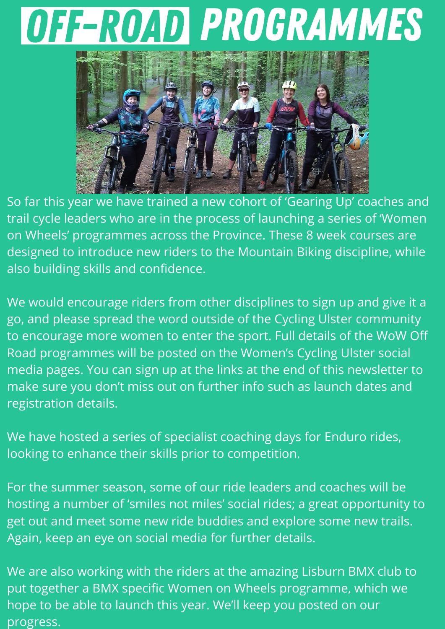## Off-Road programmes



So far this year we have trained a new cohort of 'Gearing Up' coaches and trail cycle leaders who are in the process of launching a series of 'Women on Wheels' programmes across the Province. These 8 week courses are designed to introduce new riders to the Mountain Biking discipline, while also building skills and confidence.

We would encourage riders from other disciplines to sign up and give it a go, and please spread the word outside of the Cycling Ulster community to encourage more women to enter the sport. Full details of the WoW Off Road programmes will be posted on the Women's Cycling Ulster social media pages. You can sign up at the links at the end of this newsletter to make sure you don't miss out on further info such as launch dates and registration details.

We have hosted a series of specialist coaching days for Enduro rides, looking to enhance their skills prior to competition.

For the summer season, some of our ride leaders and coaches will be hosting a number of 'smiles not miles' social rides; a great opportunity to get out and meet some new ride buddies and explore some new trails. Again, keep an eye on social media for further details.

We are also working with the riders at the amazing Lisburn BMX club to put together a BMX specific Women on Wheels programme, which we hope to be able to launch this year. We'll keep you posted on our progress.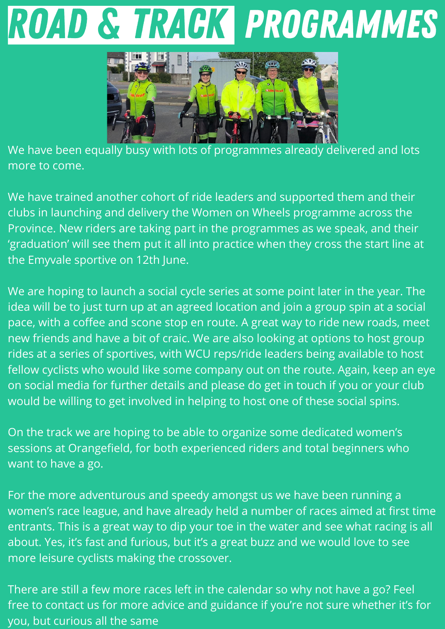### Road & Track Programmes



We have been equally busy with lots of programmes already delivered and lots more to come.

We have trained another cohort of ride leaders and supported them and their clubs in launching and delivery the Women on Wheels programme across the Province. New riders are taking part in the programmes as we speak, and their 'graduation' will see them put it all into practice when they cross the start line at the Emyvale sportive on 12th June.

We are hoping to launch a social cycle series at some point later in the year. The idea will be to just turn up at an agreed location and join a group spin at a social pace, with a coffee and scone stop en route. A great way to ride new roads, meet new friends and have a bit of craic. We are also looking at options to host group rides at a series of sportives, with WCU reps/ride leaders being available to host fellow cyclists who would like some company out on the route. Again, keep an eye on social media for further details and please do get in touch if you or your club would be willing to get involved in helping to host one of these social spins.

On the track we are hoping to be able to organize some dedicated women's sessions at Orangefield, for both experienced riders and total beginners who want to have a go.

For the more adventurous and speedy amongst us we have been running a women's race league, and have already held a number of races aimed at first time entrants. This is a great way to dip your toe in the water and see what racing is all about. Yes, it's fast and furious, but it's a great buzz and we would love to see more leisure cyclists making the crossover.

There are still a few more races left in the calendar so why not have a go? Feel free to contact us for more advice and guidance if you're not sure whether it's for you, but curious all the same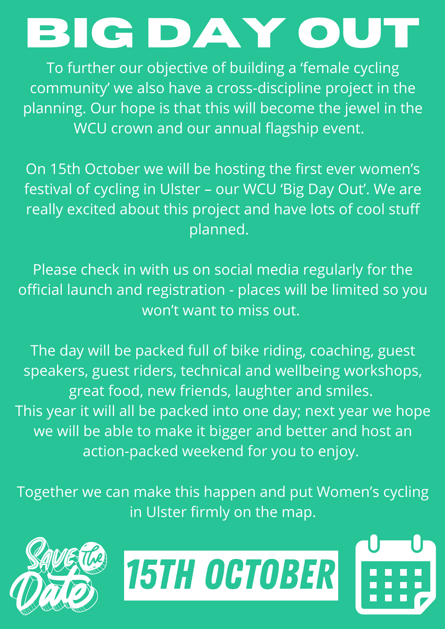# **Big Day Out**

To further our objective of building a 'female cycling community' we also have a cross-discipline project in the planning. Our hope is that this will become the jewel in the WCU crown and our annual flagship event.

On 15th October we will be hosting the first ever women's festival of cycling in Ulster – our WCU 'Big Day Out'. We are really excited about this project and have lots of cool stuff planned.

Please check in with us on social media regularly for the official launch and registration - places will be limited so you won't want to miss out.

The day will be packed full of bike riding, coaching, guest speakers, guest riders, technical and wellbeing workshops, great food, new friends, laughter and smiles. This year it will all be packed into one day; next year we hope we will be able to make it bigger and better and host an action-packed weekend for you to enjoy.

Together we can make this happen and put Women's cycling in Ulster firmly on the map.